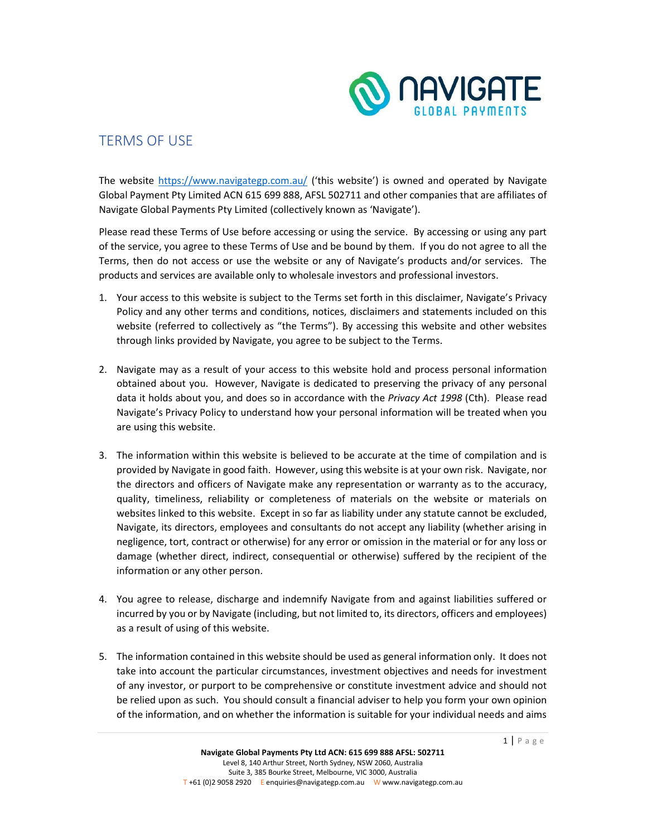

## TERMS OF USE

The website https://www.navigategp.com.au/ ('this website') is owned and operated by Navigate Global Payment Pty Limited ACN 615 699 888, AFSL 502711 and other companies that are affiliates of Navigate Global Payments Pty Limited (collectively known as 'Navigate').

Please read these Terms of Use before accessing or using the service. By accessing or using any part of the service, you agree to these Terms of Use and be bound by them. If you do not agree to all the Terms, then do not access or use the website or any of Navigate's products and/or services. The products and services are available only to wholesale investors and professional investors.

- 1. Your access to this website is subject to the Terms set forth in this disclaimer, Navigate's Privacy Policy and any other terms and conditions, notices, disclaimers and statements included on this website (referred to collectively as "the Terms"). By accessing this website and other websites through links provided by Navigate, you agree to be subject to the Terms.
- 2. Navigate may as a result of your access to this website hold and process personal information obtained about you. However, Navigate is dedicated to preserving the privacy of any personal data it holds about you, and does so in accordance with the Privacy Act 1998 (Cth). Please read Navigate's Privacy Policy to understand how your personal information will be treated when you are using this website.
- 3. The information within this website is believed to be accurate at the time of compilation and is provided by Navigate in good faith. However, using this website is at your own risk. Navigate, nor the directors and officers of Navigate make any representation or warranty as to the accuracy, quality, timeliness, reliability or completeness of materials on the website or materials on websites linked to this website. Except in so far as liability under any statute cannot be excluded, Navigate, its directors, employees and consultants do not accept any liability (whether arising in negligence, tort, contract or otherwise) for any error or omission in the material or for any loss or damage (whether direct, indirect, consequential or otherwise) suffered by the recipient of the information or any other person.
- 4. You agree to release, discharge and indemnify Navigate from and against liabilities suffered or incurred by you or by Navigate (including, but not limited to, its directors, officers and employees) as a result of using of this website.
- 5. The information contained in this website should be used as general information only. It does not take into account the particular circumstances, investment objectives and needs for investment of any investor, or purport to be comprehensive or constitute investment advice and should not be relied upon as such. You should consult a financial adviser to help you form your own opinion of the information, and on whether the information is suitable for your individual needs and aims